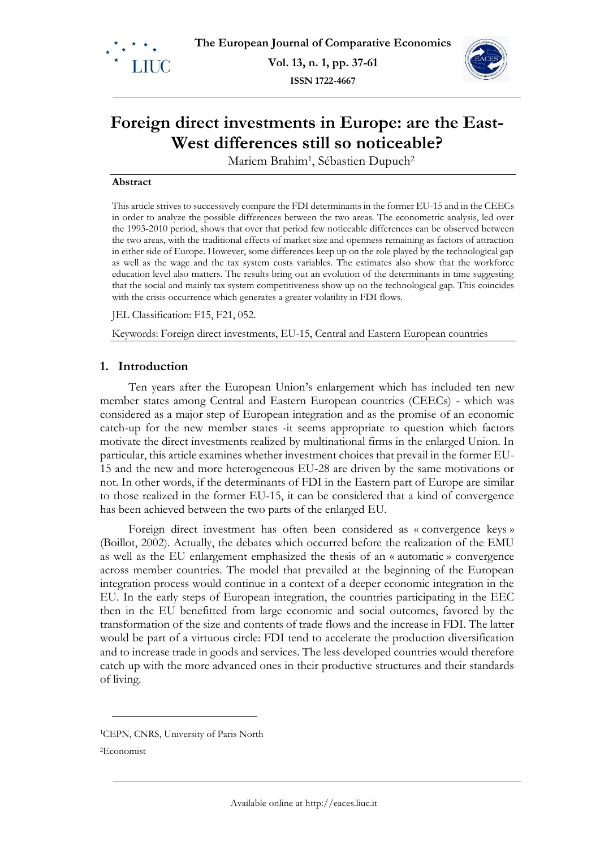

**ISSN 1722-4667**



# **Foreign direct investments in Europe: are the East-West differences still so noticeable?**

Mariem Brahim<sup>1</sup>, Sébastien Dupuch<sup>2</sup>

#### **Abstract**

This article strives to successively compare the FDI determinants in the former EU-15 and in the CEECs in order to analyze the possible differences between the two areas. The econometric analysis, led over the 1993-2010 period, shows that over that period few noticeable differences can be observed between the two areas, with the traditional effects of market size and openness remaining as factors of attraction in either side of Europe. However, some differences keep up on the role played by the technological gap as well as the wage and the tax system costs variables. The estimates also show that the workforce education level also matters. The results bring out an evolution of the determinants in time suggesting that the social and mainly tax system competitiveness show up on the technological gap. This coincides with the crisis occurrence which generates a greater volatility in FDI flows.

JEL Classification: F15, F21, 052.

Keywords: Foreign direct investments, EU-15, Central and Eastern European countries

## **1. Introduction**

Ten years after the European Union's enlargement which has included ten new member states among Central and Eastern European countries (CEECs) - which was considered as a major step of European integration and as the promise of an economic catch-up for the new member states -it seems appropriate to question which factors motivate the direct investments realized by multinational firms in the enlarged Union. In particular, this article examines whether investment choices that prevail in the former EU-15 and the new and more heterogeneous EU-28 are driven by the same motivations or not. In other words, if the determinants of FDI in the Eastern part of Europe are similar to those realized in the former EU-15, it can be considered that a kind of convergence has been achieved between the two parts of the enlarged EU.

Foreign direct investment has often been considered as « convergence keys » (Boillot, 2002). Actually, the debates which occurred before the realization of the EMU as well as the EU enlargement emphasized the thesis of an « automatic » convergence across member countries. The model that prevailed at the beginning of the European integration process would continue in a context of a deeper economic integration in the EU. In the early steps of European integration, the countries participating in the EEC then in the EU benefitted from large economic and social outcomes, favored by the transformation of the size and contents of trade flows and the increase in FDI. The latter would be part of a virtuous circle: FDI tend to accelerate the production diversification and to increase trade in goods and services. The less developed countries would therefore catch up with the more advanced ones in their productive structures and their standards of living.

2Economist

 $\overline{a}$ 

<sup>1</sup>CEPN, CNRS, University of Paris North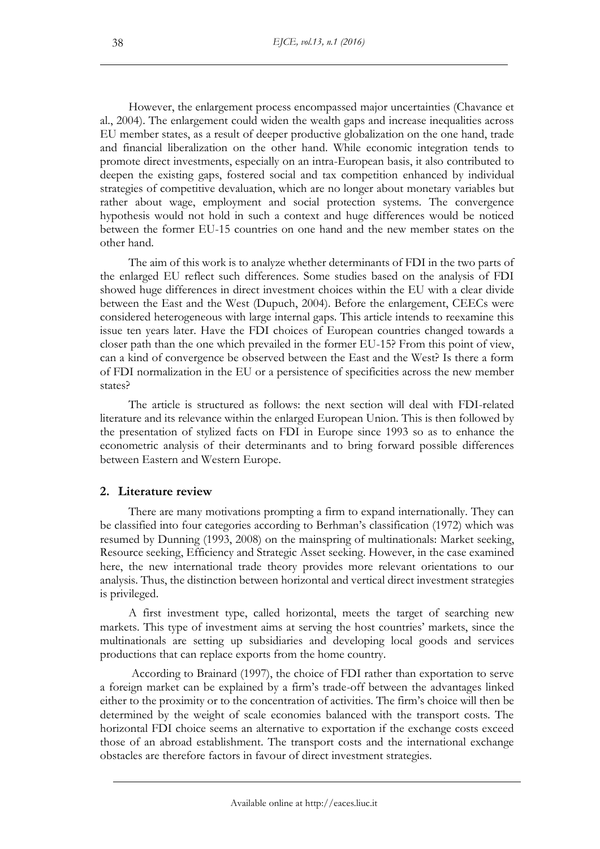However, the enlargement process encompassed major uncertainties (Chavance et al., 2004). The enlargement could widen the wealth gaps and increase inequalities across EU member states, as a result of deeper productive globalization on the one hand, trade and financial liberalization on the other hand. While economic integration tends to promote direct investments, especially on an intra-European basis, it also contributed to deepen the existing gaps, fostered social and tax competition enhanced by individual strategies of competitive devaluation, which are no longer about monetary variables but rather about wage, employment and social protection systems. The convergence hypothesis would not hold in such a context and huge differences would be noticed between the former EU-15 countries on one hand and the new member states on the other hand.

The aim of this work is to analyze whether determinants of FDI in the two parts of the enlarged EU reflect such differences. Some studies based on the analysis of FDI showed huge differences in direct investment choices within the EU with a clear divide between the East and the West (Dupuch, 2004). Before the enlargement, CEECs were considered heterogeneous with large internal gaps. This article intends to reexamine this issue ten years later. Have the FDI choices of European countries changed towards a closer path than the one which prevailed in the former EU-15? From this point of view, can a kind of convergence be observed between the East and the West? Is there a form of FDI normalization in the EU or a persistence of specificities across the new member states?

The article is structured as follows: the next section will deal with FDI-related literature and its relevance within the enlarged European Union. This is then followed by the presentation of stylized facts on FDI in Europe since 1993 so as to enhance the econometric analysis of their determinants and to bring forward possible differences between Eastern and Western Europe.

# **2. Literature review**

There are many motivations prompting a firm to expand internationally. They can be classified into four categories according to Berhman's classification (1972) which was resumed by Dunning (1993, 2008) on the mainspring of multinationals: Market seeking, Resource seeking, Efficiency and Strategic Asset seeking. However, in the case examined here, the new international trade theory provides more relevant orientations to our analysis. Thus, the distinction between horizontal and vertical direct investment strategies is privileged.

A first investment type, called horizontal, meets the target of searching new markets. This type of investment aims at serving the host countries' markets, since the multinationals are setting up subsidiaries and developing local goods and services productions that can replace exports from the home country.

According to Brainard (1997), the choice of FDI rather than exportation to serve a foreign market can be explained by a firm's trade-off between the advantages linked either to the proximity or to the concentration of activities. The firm's choice will then be determined by the weight of scale economies balanced with the transport costs. The horizontal FDI choice seems an alternative to exportation if the exchange costs exceed those of an abroad establishment. The transport costs and the international exchange obstacles are therefore factors in favour of direct investment strategies.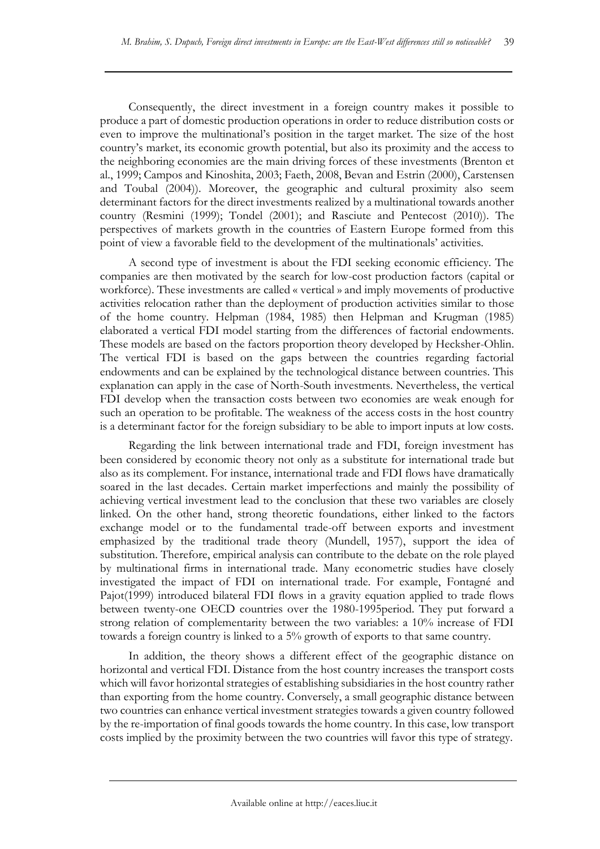Consequently, the direct investment in a foreign country makes it possible to produce a part of domestic production operations in order to reduce distribution costs or even to improve the multinational's position in the target market. The size of the host country's market, its economic growth potential, but also its proximity and the access to the neighboring economies are the main driving forces of these investments (Brenton et al., 1999; Campos and Kinoshita, 2003; Faeth, 2008, Bevan and Estrin (2000), Carstensen and Toubal (2004)). Moreover, the geographic and cultural proximity also seem determinant factors for the direct investments realized by a multinational towards another country (Resmini (1999); Tondel (2001); and Rasciute and Pentecost (2010)). The perspectives of markets growth in the countries of Eastern Europe formed from this point of view a favorable field to the development of the multinationals' activities.

A second type of investment is about the FDI seeking economic efficiency. The companies are then motivated by the search for low-cost production factors (capital or workforce). These investments are called « vertical » and imply movements of productive activities relocation rather than the deployment of production activities similar to those of the home country. Helpman (1984, 1985) then Helpman and Krugman (1985) elaborated a vertical FDI model starting from the differences of factorial endowments. These models are based on the factors proportion theory developed by Hecksher-Ohlin. The vertical FDI is based on the gaps between the countries regarding factorial endowments and can be explained by the technological distance between countries. This explanation can apply in the case of North-South investments. Nevertheless, the vertical FDI develop when the transaction costs between two economies are weak enough for such an operation to be profitable. The weakness of the access costs in the host country is a determinant factor for the foreign subsidiary to be able to import inputs at low costs.

Regarding the link between international trade and FDI, foreign investment has been considered by economic theory not only as a substitute for international trade but also as its complement. For instance, international trade and FDI flows have dramatically soared in the last decades. Certain market imperfections and mainly the possibility of achieving vertical investment lead to the conclusion that these two variables are closely linked. On the other hand, strong theoretic foundations, either linked to the factors exchange model or to the fundamental trade-off between exports and investment emphasized by the traditional trade theory (Mundell, 1957), support the idea of substitution. Therefore, empirical analysis can contribute to the debate on the role played by multinational firms in international trade. Many econometric studies have closely investigated the impact of FDI on international trade. For example, Fontagné and Pajot(1999) introduced bilateral FDI flows in a gravity equation applied to trade flows between twenty-one OECD countries over the 1980-1995period. They put forward a strong relation of complementarity between the two variables: a 10% increase of FDI towards a foreign country is linked to a 5% growth of exports to that same country.

In addition, the theory shows a different effect of the geographic distance on horizontal and vertical FDI. Distance from the host country increases the transport costs which will favor horizontal strategies of establishing subsidiaries in the host country rather than exporting from the home country. Conversely, a small geographic distance between two countries can enhance vertical investment strategies towards a given country followed by the re-importation of final goods towards the home country. In this case, low transport costs implied by the proximity between the two countries will favor this type of strategy.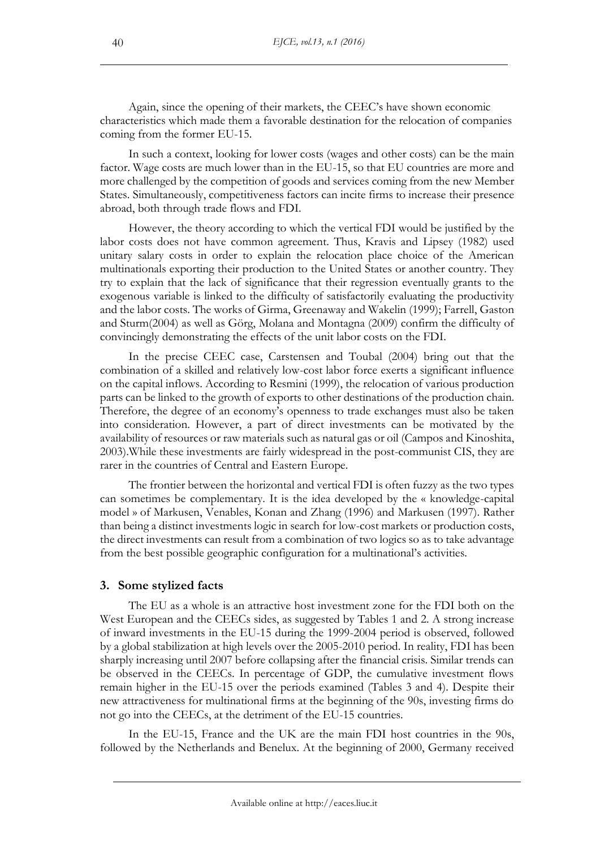Again, since the opening of their markets, the CEEC's have shown economic characteristics which made them a favorable destination for the relocation of companies coming from the former EU-15.

In such a context, looking for lower costs (wages and other costs) can be the main factor. Wage costs are much lower than in the EU-15, so that EU countries are more and more challenged by the competition of goods and services coming from the new Member States. Simultaneously, competitiveness factors can incite firms to increase their presence abroad, both through trade flows and FDI.

However, the theory according to which the vertical FDI would be justified by the labor costs does not have common agreement. Thus, Kravis and Lipsey (1982) used unitary salary costs in order to explain the relocation place choice of the American multinationals exporting their production to the United States or another country. They try to explain that the lack of significance that their regression eventually grants to the exogenous variable is linked to the difficulty of satisfactorily evaluating the productivity and the labor costs. The works of Girma, Greenaway and Wakelin (1999); Farrell, Gaston and Sturm(2004) as well as Görg, Molana and Montagna (2009) confirm the difficulty of convincingly demonstrating the effects of the unit labor costs on the FDI.

In the precise CEEC case, Carstensen and Toubal (2004) bring out that the combination of a skilled and relatively low-cost labor force exerts a significant influence on the capital inflows. According to Resmini (1999), the relocation of various production parts can be linked to the growth of exports to other destinations of the production chain. Therefore, the degree of an economy's openness to trade exchanges must also be taken into consideration. However, a part of direct investments can be motivated by the availability of resources or raw materials such as natural gas or oil (Campos and Kinoshita, 2003).While these investments are fairly widespread in the post-communist CIS, they are rarer in the countries of Central and Eastern Europe.

The frontier between the horizontal and vertical FDI is often fuzzy as the two types can sometimes be complementary. It is the idea developed by the « knowledge-capital model » of Markusen, Venables, Konan and Zhang (1996) and Markusen (1997). Rather than being a distinct investments logic in search for low-cost markets or production costs, the direct investments can result from a combination of two logics so as to take advantage from the best possible geographic configuration for a multinational's activities.

## **3. Some stylized facts**

The EU as a whole is an attractive host investment zone for the FDI both on the West European and the CEECs sides, as suggested by Tables 1 and 2. A strong increase of inward investments in the EU-15 during the 1999-2004 period is observed, followed by a global stabilization at high levels over the 2005-2010 period. In reality, FDI has been sharply increasing until 2007 before collapsing after the financial crisis. Similar trends can be observed in the CEECs. In percentage of GDP, the cumulative investment flows remain higher in the EU-15 over the periods examined (Tables 3 and 4). Despite their new attractiveness for multinational firms at the beginning of the 90s, investing firms do not go into the CEECs, at the detriment of the EU-15 countries.

In the EU-15, France and the UK are the main FDI host countries in the 90s, followed by the Netherlands and Benelux. At the beginning of 2000, Germany received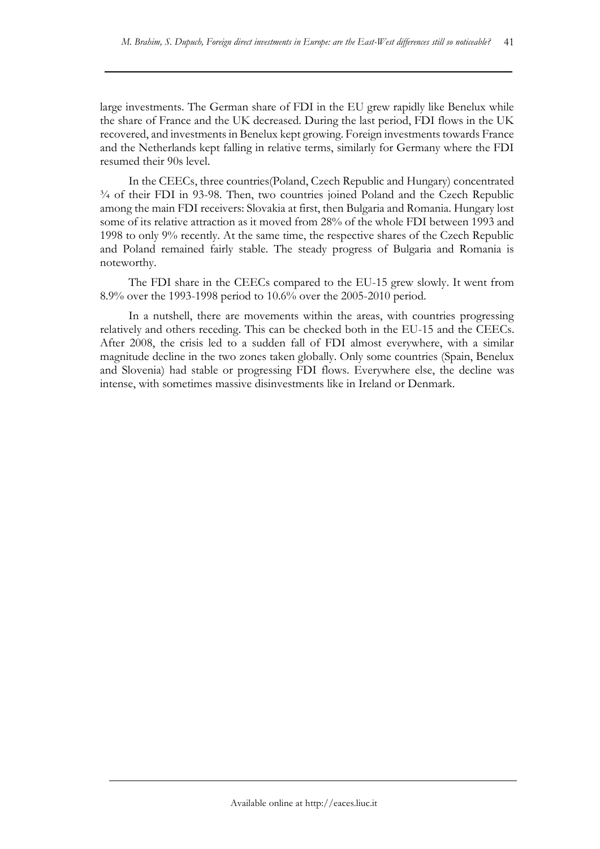large investments. The German share of FDI in the EU grew rapidly like Benelux while the share of France and the UK decreased. During the last period, FDI flows in the UK recovered, and investments in Benelux kept growing. Foreign investments towards France and the Netherlands kept falling in relative terms, similarly for Germany where the FDI resumed their 90s level.

In the CEECs, three countries(Poland, Czech Republic and Hungary) concentrated ¾ of their FDI in 93-98. Then, two countries joined Poland and the Czech Republic among the main FDI receivers: Slovakia at first, then Bulgaria and Romania. Hungary lost some of its relative attraction as it moved from 28% of the whole FDI between 1993 and 1998 to only 9% recently. At the same time, the respective shares of the Czech Republic and Poland remained fairly stable. The steady progress of Bulgaria and Romania is noteworthy.

The FDI share in the CEECs compared to the EU-15 grew slowly. It went from 8.9% over the 1993-1998 period to 10.6% over the 2005-2010 period.

In a nutshell, there are movements within the areas, with countries progressing relatively and others receding. This can be checked both in the EU-15 and the CEECs. After 2008, the crisis led to a sudden fall of FDI almost everywhere, with a similar magnitude decline in the two zones taken globally. Only some countries (Spain, Benelux and Slovenia) had stable or progressing FDI flows. Everywhere else, the decline was intense, with sometimes massive disinvestments like in Ireland or Denmark.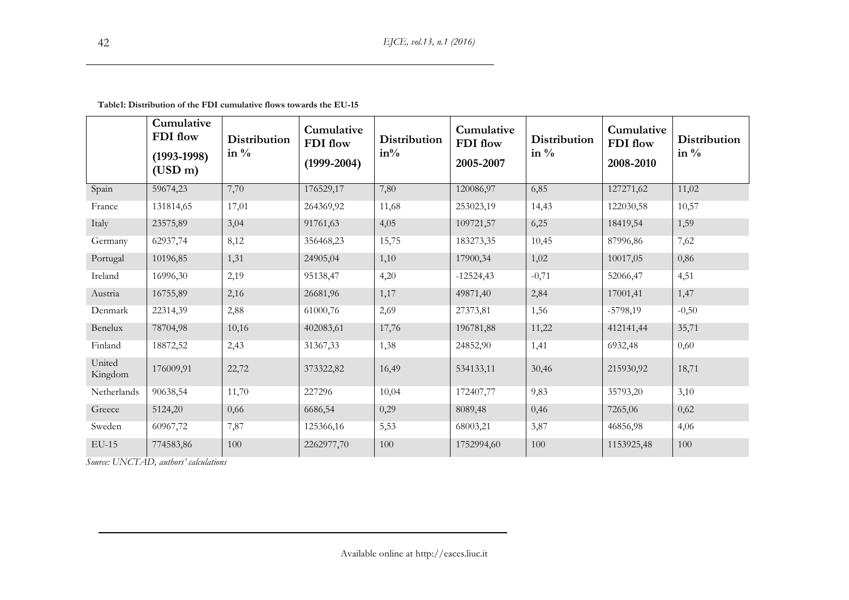|                   | Cumulative<br>FDI flow<br>$(1993-1998)$<br>(USD m) | <b>Distribution</b><br>in $\%$ | Cumulative<br>FDI flow<br>$(1999 - 2004)$ | Distribution<br>$in\%$ | Cumulative<br>FDI flow<br>2005-2007 | Distribution<br>in $\%$ | Cumulative<br>FDI flow<br>2008-2010 | Distribution<br>in $\%$ |
|-------------------|----------------------------------------------------|--------------------------------|-------------------------------------------|------------------------|-------------------------------------|-------------------------|-------------------------------------|-------------------------|
| Spain             | 59674,23                                           | 7,70                           | 176529,17                                 | 7,80                   | 120086,97                           | 6,85                    | 127271,62                           | 11,02                   |
| France            | 131814,65                                          | 17,01                          | 264369,92                                 | 11,68                  | 253023,19                           | 14,43                   | 122030,58                           | 10,57                   |
| Italy             | 23575,89                                           | 3,04                           | 91761,63                                  | 4,05                   | 109721,57                           | 6,25                    | 18419,54                            | 1,59                    |
| Germany           | 62937,74                                           | 8,12                           | 356468,23                                 | 15,75                  | 183273,35                           | 10,45                   | 87996,86                            | 7,62                    |
| Portugal          | 10196,85                                           | 1,31                           | 24905,04                                  | 1,10                   | 17900,34                            | 1,02                    | 10017,05                            | 0,86                    |
| Ireland           | 16996,30                                           | 2,19                           | 95138,47                                  | 4,20                   | $-12524,43$                         | $-0,71$                 | 52066,47                            | 4,51                    |
| Austria           | 16755,89                                           | 2,16                           | 26681,96                                  | 1,17                   | 49871,40                            | 2,84                    | 17001,41                            | 1,47                    |
| Denmark           | 22314,39                                           | 2,88                           | 61000,76                                  | 2,69                   | 27373,81                            | 1,56                    | $-5798,19$                          | $-0,50$                 |
| Benelux           | 78704,98                                           | 10,16                          | 402083,61                                 | 17,76                  | 196781,88                           | 11,22                   | 412141,44                           | 35,71                   |
| Finland           | 18872,52                                           | 2,43                           | 31367,33                                  | 1,38                   | 24852,90                            | 1,41                    | 6932,48                             | 0,60                    |
| United<br>Kingdom | 176009,91                                          | 22,72                          | 373322,82                                 | 16,49                  | 534133,11                           | 30,46                   | 215930,92                           | 18,71                   |
| Netherlands       | 90638,54                                           | 11,70                          | 227296                                    | 10,04                  | 172407,77                           | 9,83                    | 35793,20                            | 3,10                    |
| Greece            | 5124,20                                            | 0,66                           | 6686,54                                   | 0,29                   | 8089,48                             | 0,46                    | 7265,06                             | 0,62                    |
| Sweden            | 60967,72                                           | 7,87                           | 125366,16                                 | 5,53                   | 68003,21                            | 3,87                    | 46856,98                            | 4,06                    |
| $EU-15$           | 774583,86                                          | 100                            | 2262977,70                                | 100                    | 1752994,60                          | 100                     | 1153925,48                          | 100                     |

**Table1: Distribution of the FDI cumulative flows towards the EU-15**

*Source: UNCTAD, authors' calculations*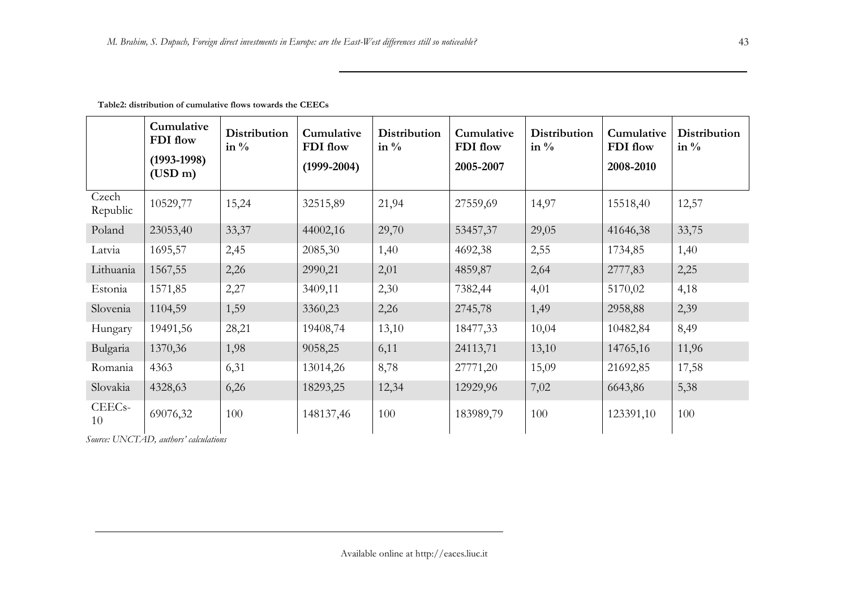|                           | Cumulative<br>FDI flow<br>$(1993-1998)$<br>(USD m) | Distribution<br>in $\%$ | Cumulative<br>FDI flow<br>$(1999-2004)$ | Distribution<br>in $\%$ | Cumulative<br>FDI flow<br>2005-2007 | <b>Distribution</b><br>in $\%$ | Cumulative<br>FDI flow<br>2008-2010 | <b>Distribution</b><br>in $\%$ |
|---------------------------|----------------------------------------------------|-------------------------|-----------------------------------------|-------------------------|-------------------------------------|--------------------------------|-------------------------------------|--------------------------------|
| Czech<br>Republic         | 10529,77                                           | 15,24                   | 32515,89                                | 21,94                   | 27559,69                            | 14,97                          | 15518,40                            | 12,57                          |
| Poland                    | 23053,40                                           | 33,37                   | 44002,16                                | 29,70                   | 53457,37                            | 29,05                          | 41646,38                            | 33,75                          |
| Latvia                    | 1695,57                                            | 2,45                    | 2085,30                                 | 1,40                    | 4692,38                             | 2,55                           | 1734,85                             | 1,40                           |
| Lithuania                 | 1567,55                                            | 2,26                    | 2990,21                                 | 2,01                    | 4859,87                             | 2,64                           | 2777,83                             | 2,25                           |
| Estonia                   | 1571,85                                            | 2,27                    | 3409,11                                 | 2,30                    | 7382,44                             | 4,01                           | 5170,02                             | 4,18                           |
| Slovenia                  | 1104,59                                            | 1,59                    | 3360,23                                 | 2,26                    | 2745,78                             | 1,49                           | 2958,88                             | 2,39                           |
| Hungary                   | 19491,56                                           | 28,21                   | 19408,74                                | 13,10                   | 18477,33                            | 10,04                          | 10482,84                            | 8,49                           |
| Bulgaria                  | 1370,36                                            | 1,98                    | 9058,25                                 | 6,11                    | 24113,71                            | 13,10                          | 14765,16                            | 11,96                          |
| Romania                   | 4363                                               | 6,31                    | 13014,26                                | 8,78                    | 27771,20                            | 15,09                          | 21692,85                            | 17,58                          |
| Slovakia                  | 4328,63                                            | 6,26                    | 18293,25                                | 12,34                   | 12929,96                            | 7,02                           | 6643,86                             | 5,38                           |
| CEEC <sub>s</sub> -<br>10 | 69076,32                                           | 100                     | 148137,46                               | 100                     | 183989,79                           | 100                            | 123391,10                           | 100                            |

**Table2: distribution of cumulative flows towards the CEECs**

*Source: UNCTAD, authors' calculations*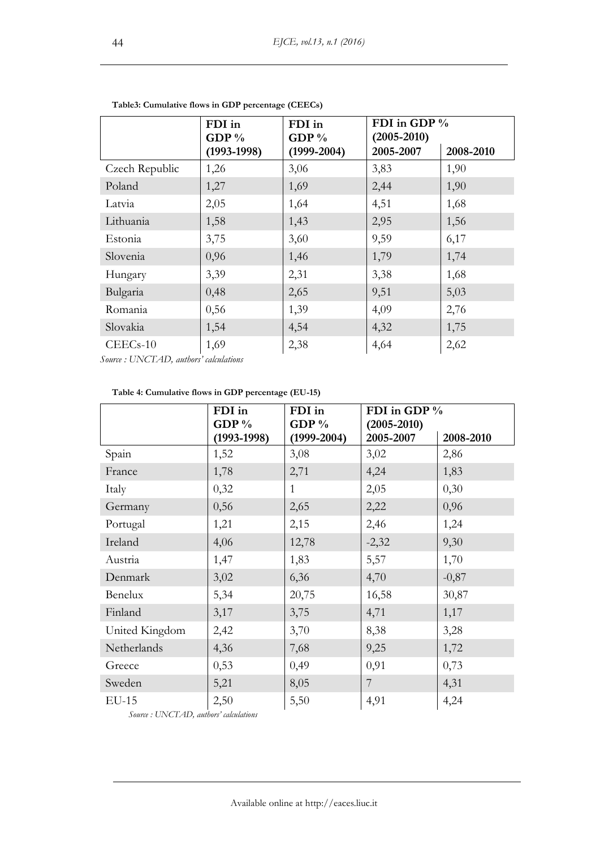|                                            | FDI in          | FDI in          | FDI in GDP %    |           |
|--------------------------------------------|-----------------|-----------------|-----------------|-----------|
|                                            | GDP $%$         | GDP $%$         | $(2005 - 2010)$ |           |
|                                            | $(1993 - 1998)$ | $(1999 - 2004)$ | 2005-2007       | 2008-2010 |
| Czech Republic                             | 1,26            | 3,06            | 3,83            | 1,90      |
| Poland                                     | 1,27            | 1,69            | 2,44            | 1,90      |
| Latvia                                     | 2,05            | 1,64            | 4,51            | 1,68      |
| Lithuania                                  | 1,58            | 1,43            | 2,95            | 1,56      |
| Estonia                                    | 3,75            | 3,60            | 9,59            | 6,17      |
| Slovenia                                   | 0,96            | 1,46            | 1,79            | 1,74      |
| Hungary                                    | 3,39            | 2,31            | 3,38            | 1,68      |
| Bulgaria                                   | 0,48            | 2,65            | 9,51            | 5,03      |
| Romania                                    | 0,56            | 1,39            | 4,09            | 2,76      |
| Slovakia                                   | 1,54            | 4,54            | 4,32            | 1,75      |
| $CEECs-10$<br>$C = IIN/CTAD \cup I \cup I$ | 1,69            | 2,38            | 4,64            | 2,62      |

**Table3: Cumulative flows in GDP percentage (CEECs)**

*Source : UNCTAD, authors' calculations*

| Table 4: Cumulative flows in GDP percentage (EU-15) |  |  |  |
|-----------------------------------------------------|--|--|--|
|-----------------------------------------------------|--|--|--|

|                | FDI in<br>GDP $%$ | FDI in<br>GDP $%$ | FDI in GDP %<br>$(2005 - 2010)$ |           |
|----------------|-------------------|-------------------|---------------------------------|-----------|
|                | $(1993 - 1998)$   | $(1999 - 2004)$   | 2005-2007                       | 2008-2010 |
| Spain          | 1,52              | 3,08              | 3,02                            | 2,86      |
| France         | 1,78              | 2,71              | 4,24                            | 1,83      |
| Italy          | 0,32              | $\mathbf{1}$      | 2,05                            | 0,30      |
| Germany        | 0,56              | 2,65              | 2,22                            | 0,96      |
| Portugal       | 1,21              | 2,15              | 2,46                            | 1,24      |
| Ireland        | 4,06              | 12,78             | $-2,32$                         | 9,30      |
| Austria        | 1,47              | 1,83              | 5,57                            | 1,70      |
| Denmark        | 3,02              | 6,36              | 4,70                            | $-0,87$   |
| Benelux        | 5,34              | 20,75             | 16,58                           | 30,87     |
| Finland        | 3,17              | 3,75              | 4,71                            | 1,17      |
| United Kingdom | 2,42              | 3,70              | 8,38                            | 3,28      |
| Netherlands    | 4,36              | 7,68              | 9,25                            | 1,72      |
| Greece         | 0,53              | 0,49              | 0,91                            | 0,73      |
| Sweden         | 5,21              | 8,05              | $\overline{7}$                  | 4,31      |
| $EU-15$        | 2,50              | 5,50              | 4,91                            | 4,24      |

*Source : UNCTAD, authors' calculations*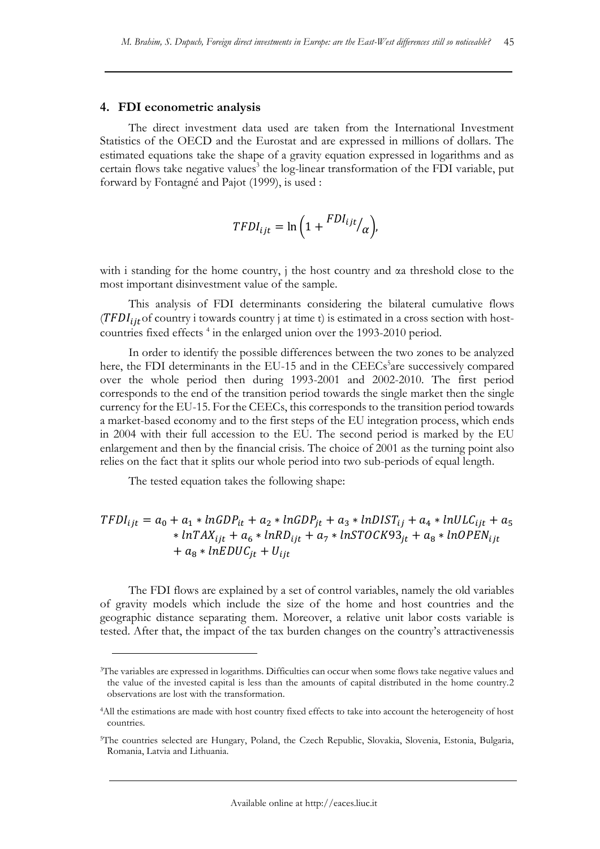#### **4. FDI econometric analysis**

The direct investment data used are taken from the International Investment Statistics of the OECD and the Eurostat and are expressed in millions of dollars. The estimated equations take the shape of a gravity equation expressed in logarithms and as certain flows take negative values<sup>3</sup> the log-linear transformation of the FDI variable, put forward by Fontagné and Pajot (1999), is used :

$$
TFDI_{ijt} = \ln\left(1 + \frac{FDI_{ijt}}{\alpha}\right),\,
$$

with i standing for the home country, j the host country and αa threshold close to the most important disinvestment value of the sample.

This analysis of FDI determinants considering the bilateral cumulative flows  $(TFDI<sub>ijt</sub>$  country i towards country j at time t) is estimated in a cross section with hostcountries fixed effects<sup>4</sup> in the enlarged union over the 1993-2010 period.

In order to identify the possible differences between the two zones to be analyzed here, the FDI determinants in the EU-15 and in the CEECs<sup>5</sup>are successively compared over the whole period then during 1993-2001 and 2002-2010. The first period corresponds to the end of the transition period towards the single market then the single currency for the EU-15. For the CEECs, this corresponds to the transition period towards a market-based economy and to the first steps of the EU integration process, which ends in 2004 with their full accession to the EU. The second period is marked by the EU enlargement and then by the financial crisis. The choice of 2001 as the turning point also relies on the fact that it splits our whole period into two sub-periods of equal length.

The tested equation takes the following shape:

 $\overline{a}$ 

$$
TFDI_{ijt} = a_0 + a_1 * lnGDP_{it} + a_2 * lnGDP_{jt} + a_3 * lnDIST_{ij} + a_4 * lnULC_{ijt} + a_5 * lnTAX_{ijt} + a_6 * lnRD_{ijt} + a_7 * lnSTOCK93_{jt} + a_8 * lnOPEN_{ijt} + a_8 * lnEDUC_{jt} + U_{ijt}
$$

The FDI flows are explained by a set of control variables, namely the old variables of gravity models which include the size of the home and host countries and the geographic distance separating them. Moreover, a relative unit labor costs variable is tested. After that, the impact of the tax burden changes on the country's attractivenessis

<sup>3</sup>The variables are expressed in logarithms. Difficulties can occur when some flows take negative values and the value of the invested capital is less than the amounts of capital distributed in the home country.2 observations are lost with the transformation.

<sup>4</sup>All the estimations are made with host country fixed effects to take into account the heterogeneity of host countries.

<sup>5</sup>The countries selected are Hungary, Poland, the Czech Republic, Slovakia, Slovenia, Estonia, Bulgaria, Romania, Latvia and Lithuania.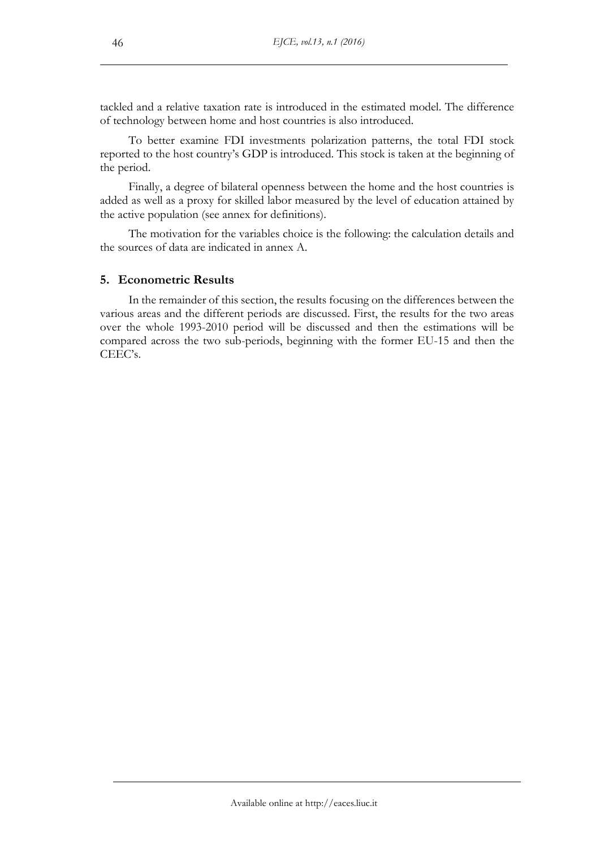tackled and a relative taxation rate is introduced in the estimated model. The difference of technology between home and host countries is also introduced.

To better examine FDI investments polarization patterns, the total FDI stock reported to the host country's GDP is introduced. This stock is taken at the beginning of the period.

Finally, a degree of bilateral openness between the home and the host countries is added as well as a proxy for skilled labor measured by the level of education attained by the active population (see annex for definitions).

The motivation for the variables choice is the following: the calculation details and the sources of data are indicated in annex A.

## **5. Econometric Results**

In the remainder of this section, the results focusing on the differences between the various areas and the different periods are discussed. First, the results for the two areas over the whole 1993-2010 period will be discussed and then the estimations will be compared across the two sub-periods, beginning with the former EU-15 and then the CEEC's.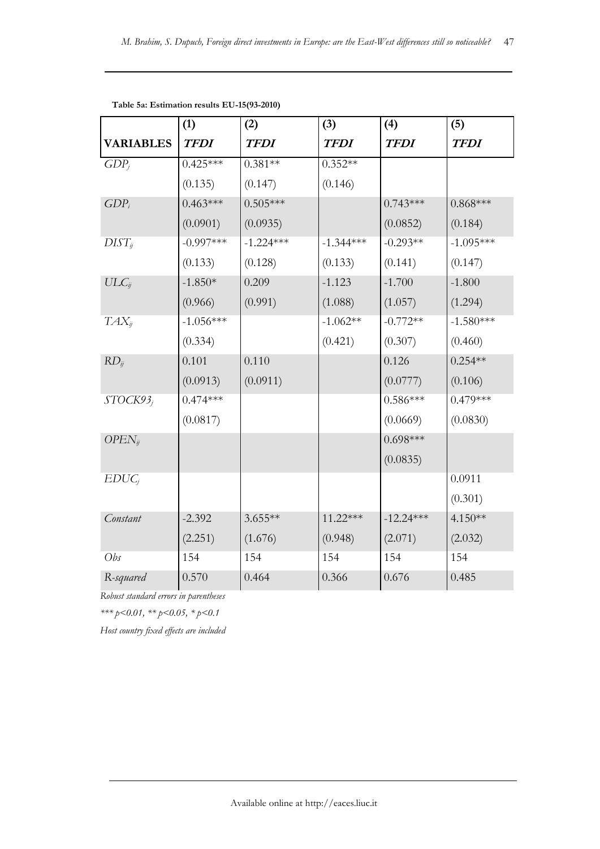|                      | (1)         | (2)         | (3)         | (4)         | (5)         |
|----------------------|-------------|-------------|-------------|-------------|-------------|
| <b>VARIABLES</b>     | <b>TFDI</b> | <b>TFDI</b> | <b>TFDI</b> | <b>TFDI</b> | <b>TFDI</b> |
| $GDP_i$              | $0.425***$  | $0.381**$   | $0.352**$   |             |             |
|                      | (0.135)     | (0.147)     | (0.146)     |             |             |
| $GDP_i$              | $0.463***$  | $0.505***$  |             | $0.743***$  | $0.868***$  |
|                      | (0.0901)    | (0.0935)    |             | (0.0852)    | (0.184)     |
| $DIST_{ij}$          | $-0.997***$ | $-1.224***$ | $-1.344***$ | $-0.293**$  | $-1.095***$ |
|                      | (0.133)     | (0.128)     | (0.133)     | (0.141)     | (0.147)     |
| $ULC_{ij}$           | $-1.850*$   | 0.209       | $-1.123$    | $-1.700$    | $-1.800$    |
|                      | (0.966)     | (0.991)     | (1.088)     | (1.057)     | (1.294)     |
| $TAX_{ii}$           | $-1.056***$ |             | $-1.062**$  | $-0.772**$  | $-1.580***$ |
|                      | (0.334)     |             | (0.421)     | (0.307)     | (0.460)     |
| $RD_{ij}$            | 0.101       | 0.110       |             | 0.126       | $0.254**$   |
|                      | (0.0913)    | (0.0911)    |             | (0.0777)    | (0.106)     |
| STOCK93 <sub>i</sub> | $0.474***$  |             |             | $0.586***$  | $0.479***$  |
|                      | (0.0817)    |             |             | (0.0669)    | (0.0830)    |
| $OPEN_{ij}$          |             |             |             | $0.698***$  |             |
|                      |             |             |             | (0.0835)    |             |
| $EDUC_i$             |             |             |             |             | 0.0911      |
|                      |             |             |             |             | (0.301)     |
| Constant             | $-2.392$    | $3.655**$   | 11.22***    | $-12.24***$ | 4.150**     |
|                      | (2.251)     | (1.676)     | (0.948)     | (2.071)     | (2.032)     |
| Obs                  | 154         | 154         | 154         | 154         | 154         |
| R-squared            | 0.570       | 0.464       | 0.366       | 0.676       | 0.485       |

**Table 5a: Estimation results EU-15(93-2010)**

*Robust standard errors in parentheses*

*\*\*\* p<0.01, \*\* p<0.05, \* p<0.1*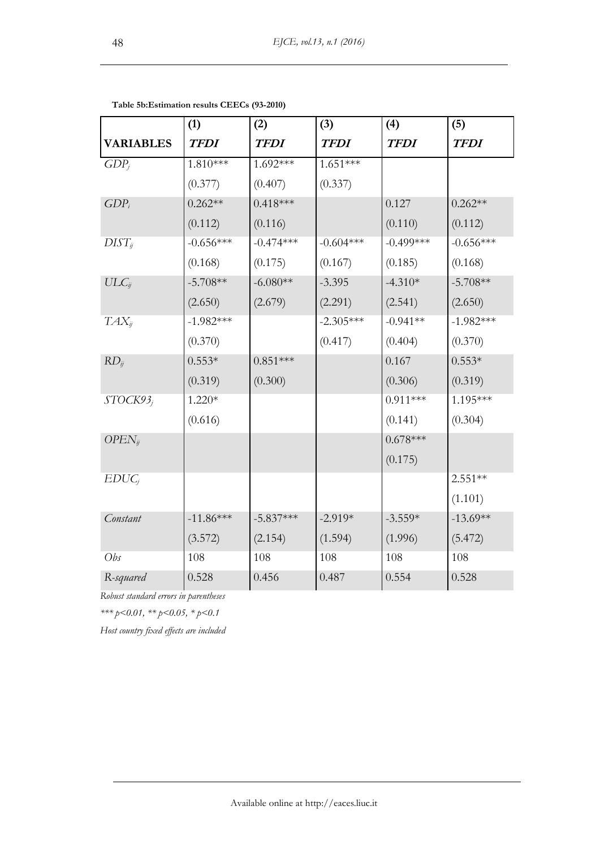|                  | (1)         | (2)         | (3)         | (4)          | (5)         |
|------------------|-------------|-------------|-------------|--------------|-------------|
| <b>VARIABLES</b> | <b>TFDI</b> | <b>TFDI</b> | <b>TFDI</b> | <b>TFDI</b>  | <b>TFDI</b> |
| $GDP_i$          | 1.810***    | 1.692***    | $1.651***$  |              |             |
|                  | (0.377)     | (0.407)     | (0.337)     |              |             |
| $GDP_i$          | $0.262**$   | $0.418***$  |             | 0.127        | $0.262**$   |
|                  | (0.112)     | (0.116)     |             | (0.110)      | (0.112)     |
| $DIST_{ij}$      | $-0.656***$ | $-0.474***$ | $-0.604***$ | $-0.499$ *** | $-0.656***$ |
|                  | (0.168)     | (0.175)     | (0.167)     | (0.185)      | (0.168)     |
| $ULC_{ij}$       | $-5.708**$  | $-6.080**$  | $-3.395$    | $-4.310*$    | $-5.708**$  |
|                  | (2.650)     | (2.679)     | (2.291)     | (2.541)      | (2.650)     |
| $TAX_{ii}$       | $-1.982***$ |             | $-2.305***$ | $-0.941**$   | $-1.982***$ |
|                  | (0.370)     |             | (0.417)     | (0.404)      | (0.370)     |
| $RD_{ij}$        | $0.553*$    | $0.851***$  |             | 0.167        | $0.553*$    |
|                  | (0.319)     | (0.300)     |             | (0.306)      | (0.319)     |
| STOCK93;         | $1.220*$    |             |             | $0.911***$   | 1.195***    |
|                  | (0.616)     |             |             | (0.141)      | (0.304)     |
| $OPEN_{ij}$      |             |             |             | $0.678***$   |             |
|                  |             |             |             | (0.175)      |             |
| $EDUC_i$         |             |             |             |              | $2.551**$   |
|                  |             |             |             |              | (1.101)     |
| Constant         | $-11.86***$ | $-5.837***$ | $-2.919*$   | $-3.559*$    | $-13.69**$  |
|                  | (3.572)     | (2.154)     | (1.594)     | (1.996)      | (5.472)     |
| Obs              | 108         | 108         | 108         | 108          | 108         |
| R-squared        | 0.528       | 0.456       | 0.487       | 0.554        | 0.528       |

**Table 5b:Estimation results CEECs (93-2010)**

*Robust standard errors in parentheses*

*\*\*\* p<0.01, \*\* p<0.05, \* p<0.1*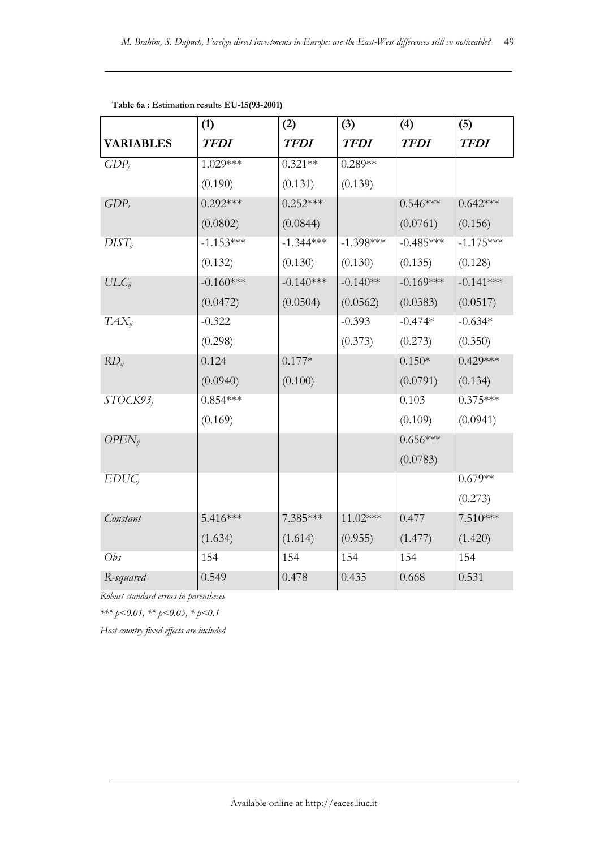|                  | (1)         | (2)         | (3)         | (4)         | (5)         |
|------------------|-------------|-------------|-------------|-------------|-------------|
| <b>VARIABLES</b> | <b>TFDI</b> | <b>TFDI</b> | <b>TFDI</b> | <b>TFDI</b> | <b>TFDI</b> |
| $GDP_i$          | 1.029***    | $0.321**$   | $0.289**$   |             |             |
|                  | (0.190)     | (0.131)     | (0.139)     |             |             |
| $GDP_i$          | $0.292***$  | $0.252***$  |             | $0.546***$  | $0.642***$  |
|                  | (0.0802)    | (0.0844)    |             | (0.0761)    | (0.156)     |
| $DIST_{ij}$      | $-1.153***$ | $-1.344***$ | $-1.398***$ | $-0.485***$ | $-1.175***$ |
|                  | (0.132)     | (0.130)     | (0.130)     | (0.135)     | (0.128)     |
| $ULC_{ij}$       | $-0.160***$ | $-0.140***$ | $-0.140**$  | $-0.169***$ | $-0.141***$ |
|                  | (0.0472)    | (0.0504)    | (0.0562)    | (0.0383)    | (0.0517)    |
| $TAX_{ii}$       | $-0.322$    |             | $-0.393$    | $-0.474*$   | $-0.634*$   |
|                  | (0.298)     |             | (0.373)     | (0.273)     | (0.350)     |
| $RD_{ij}$        | 0.124       | $0.177*$    |             | $0.150*$    | $0.429***$  |
|                  | (0.0940)    | (0.100)     |             | (0.0791)    | (0.134)     |
| STOCK93;         | $0.854***$  |             |             | 0.103       | $0.375***$  |
|                  | (0.169)     |             |             | (0.109)     | (0.0941)    |
| $OPEN_{ij}$      |             |             |             | $0.656***$  |             |
|                  |             |             |             | (0.0783)    |             |
| $EDUC_i$         |             |             |             |             | $0.679**$   |
|                  |             |             |             |             | (0.273)     |
| Constant         | $5.416***$  | 7.385***    | 11.02***    | 0.477       | $7.510***$  |
|                  | (1.634)     | (1.614)     | (0.955)     | (1.477)     | (1.420)     |
| Obs              | 154         | 154         | 154         | 154         | 154         |
| R-squared        | 0.549       | 0.478       | 0.435       | 0.668       | 0.531       |

**Table 6a : Estimation results EU-15(93-2001)**

*Robust standard errors in parentheses*

*\*\*\* p<0.01, \*\* p<0.05, \* p<0.1*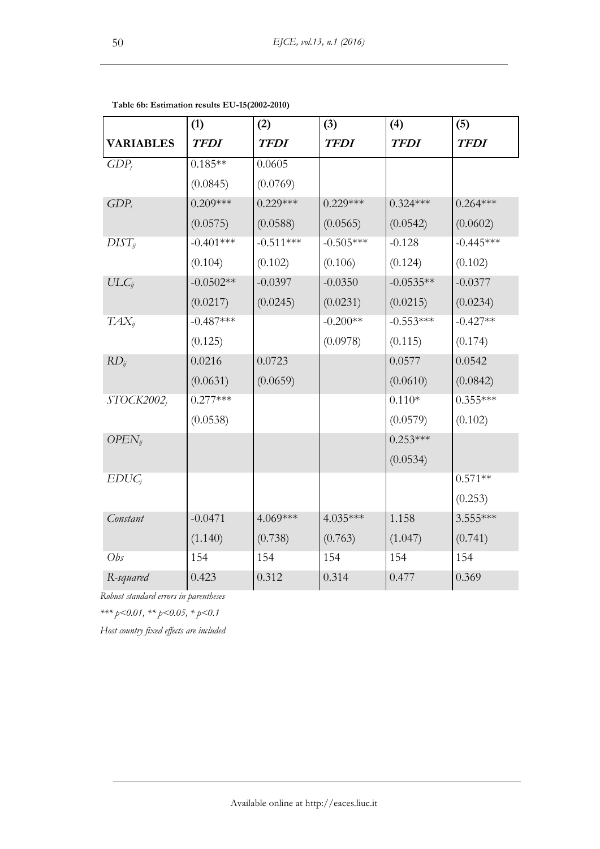|                  | (1)         | (2)         | (3)         | (4)         | (5)         |
|------------------|-------------|-------------|-------------|-------------|-------------|
| <b>VARIABLES</b> | <b>TFDI</b> | <b>TFDI</b> | <b>TFDI</b> | <b>TFDI</b> | <b>TFDI</b> |
| $GDP_i$          | $0.185**$   | 0.0605      |             |             |             |
|                  | (0.0845)    | (0.0769)    |             |             |             |
| $GDP_i$          | $0.209***$  | $0.229***$  | $0.229***$  | $0.324***$  | $0.264***$  |
|                  | (0.0575)    | (0.0588)    | (0.0565)    | (0.0542)    | (0.0602)    |
| $DIST_{ij}$      | $-0.401***$ | $-0.511***$ | $-0.505***$ | $-0.128$    | $-0.445***$ |
|                  | (0.104)     | (0.102)     | (0.106)     | (0.124)     | (0.102)     |
| $ULC_{ij}$       | $-0.0502**$ | $-0.0397$   | $-0.0350$   | $-0.0535**$ | $-0.0377$   |
|                  | (0.0217)    | (0.0245)    | (0.0231)    | (0.0215)    | (0.0234)    |
| $TAX_{ii}$       | $-0.487***$ |             | $-0.200**$  | $-0.553***$ | $-0.427**$  |
|                  | (0.125)     |             | (0.0978)    | (0.115)     | (0.174)     |
| $RD_{ij}$        | 0.0216      | 0.0723      |             | 0.0577      | 0.0542      |
|                  | (0.0631)    | (0.0659)    |             | (0.0610)    | (0.0842)    |
| $STOCK2002_i$    | $0.277***$  |             |             | $0.110*$    | $0.355***$  |
|                  | (0.0538)    |             |             | (0.0579)    | (0.102)     |
| $OPEN_{ij}$      |             |             |             | $0.253***$  |             |
|                  |             |             |             | (0.0534)    |             |
| $EDUC_i$         |             |             |             |             | $0.571**$   |
|                  |             |             |             |             | (0.253)     |
| Constant         | $-0.0471$   | 4.069***    | 4.035***    | 1.158       | 3.555***    |
|                  | (1.140)     | (0.738)     | (0.763)     | (1.047)     | (0.741)     |
| Obs              | 154         | 154         | 154         | 154         | 154         |
| R-squared        | 0.423       | 0.312       | 0.314       | 0.477       | 0.369       |

**Table 6b: Estimation results EU-15(2002-2010)**

*Robust standard errors in parentheses*

*\*\*\* p<0.01, \*\* p<0.05, \* p<0.1*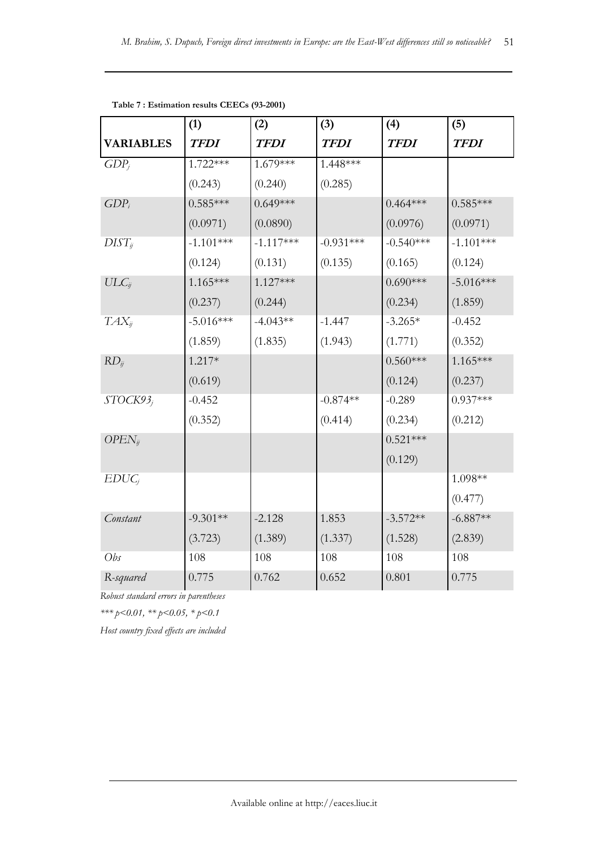|                  | (1)         | (2)         | (3)         | (4)         | (5)         |
|------------------|-------------|-------------|-------------|-------------|-------------|
| <b>VARIABLES</b> | <b>TFDI</b> | <b>TFDI</b> | <b>TFDI</b> | <b>TFDI</b> | <b>TFDI</b> |
| $GDP_i$          | $1.722***$  | 1.679***    | 1.448***    |             |             |
|                  | (0.243)     | (0.240)     | (0.285)     |             |             |
| $GDP_i$          | $0.585***$  | $0.649***$  |             | $0.464***$  | $0.585***$  |
|                  | (0.0971)    | (0.0890)    |             | (0.0976)    | (0.0971)    |
| $DIST_{ij}$      | $-1.101***$ | $-1.117***$ | $-0.931***$ | $-0.540***$ | $-1.101***$ |
|                  | (0.124)     | (0.131)     | (0.135)     | (0.165)     | (0.124)     |
| $ULC_{ij}$       | $1.165***$  | 1.127***    |             | $0.690***$  | $-5.016***$ |
|                  | (0.237)     | (0.244)     |             | (0.234)     | (1.859)     |
| $TAX_{ij}$       | $-5.016***$ | $-4.043**$  | $-1.447$    | $-3.265*$   | $-0.452$    |
|                  | (1.859)     | (1.835)     | (1.943)     | (1.771)     | (0.352)     |
| $RD_{ij}$        | $1.217*$    |             |             | $0.560***$  | $1.165***$  |
|                  | (0.619)     |             |             | (0.124)     | (0.237)     |
| STOCK93;         | $-0.452$    |             | $-0.874**$  | $-0.289$    | $0.937***$  |
|                  | (0.352)     |             | (0.414)     | (0.234)     | (0.212)     |
| $OPEN_{ij}$      |             |             |             | $0.521***$  |             |
|                  |             |             |             | (0.129)     |             |
| $EDUC_i$         |             |             |             |             | $1.098**$   |
|                  |             |             |             |             | (0.477)     |
| Constant         | $-9.301**$  | $-2.128$    | 1.853       | $-3.572**$  | $-6.887**$  |
|                  | (3.723)     | (1.389)     | (1.337)     | (1.528)     | (2.839)     |
| Obs              | 108         | 108         | 108         | 108         | 108         |
| R-squared        | 0.775       | 0.762       | 0.652       | 0.801       | 0.775       |

**Table 7 : Estimation results CEECs (93-2001)**

*Robust standard errors in parentheses*

*\*\*\* p<0.01, \*\* p<0.05, \* p<0.1*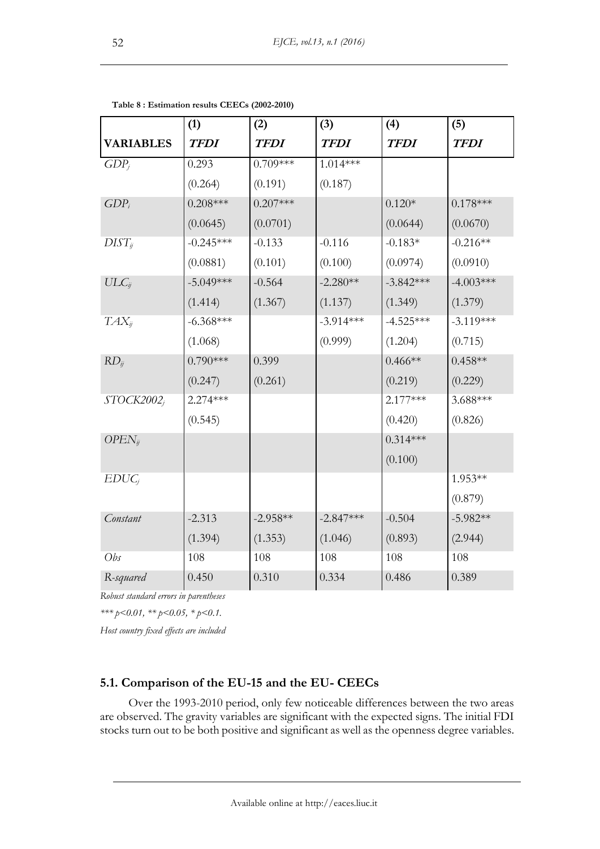|                  | (1)         | (2)         | (3)         | (4)         | (5)         |
|------------------|-------------|-------------|-------------|-------------|-------------|
| <b>VARIABLES</b> | <b>TFDI</b> | <b>TFDI</b> | <b>TFDI</b> | <b>TFDI</b> | <b>TFDI</b> |
| $GDP_i$          | 0.293       | $0.709***$  | $1.014***$  |             |             |
|                  | (0.264)     | (0.191)     | (0.187)     |             |             |
| $GDP_i$          | $0.208***$  | $0.207***$  |             | $0.120*$    | $0.178***$  |
|                  | (0.0645)    | (0.0701)    |             | (0.0644)    | (0.0670)    |
| $DIST_{ij}$      | $-0.245***$ | $-0.133$    | $-0.116$    | $-0.183*$   | $-0.216**$  |
|                  | (0.0881)    | (0.101)     | (0.100)     | (0.0974)    | (0.0910)    |
| $ULC_{ij}$       | $-5.049***$ | $-0.564$    | $-2.280**$  | $-3.842***$ | $-4.003***$ |
|                  | (1.414)     | (1.367)     | (1.137)     | (1.349)     | (1.379)     |
| $TAX_{ii}$       | $-6.368***$ |             | $-3.914***$ | $-4.525***$ | $-3.119***$ |
|                  | (1.068)     |             | (0.999)     | (1.204)     | (0.715)     |
| $RD_{ij}$        | $0.790***$  | 0.399       |             | $0.466**$   | $0.458**$   |
|                  | (0.247)     | (0.261)     |             | (0.219)     | (0.229)     |
| $STOCK2002_i$    | $2.274***$  |             |             | $2.177***$  | $3.688***$  |
|                  | (0.545)     |             |             | (0.420)     | (0.826)     |
| $OPEN_{ij}$      |             |             |             | $0.314***$  |             |
|                  |             |             |             | (0.100)     |             |
| $EDUC_i$         |             |             |             |             | 1.953**     |
|                  |             |             |             |             | (0.879)     |
| Constant         | $-2.313$    | $-2.958**$  | $-2.847***$ | $-0.504$    | $-5.982**$  |
|                  | (1.394)     | (1.353)     | (1.046)     | (0.893)     | (2.944)     |
| Obs              | 108         | 108         | 108         | 108         | 108         |
| R-squared        | 0.450       | 0.310       | 0.334       | 0.486       | 0.389       |

| Table 8 : Estimation results CEECs (2002-2010) |  |  |
|------------------------------------------------|--|--|
|------------------------------------------------|--|--|

*Robust standard errors in parentheses*

*\*\*\* p<0.01, \*\* p<0.05, \* p<0.1.*

*Host country fixed effects are included*

# **5.1. Comparison of the EU-15 and the EU- CEECs**

Over the 1993-2010 period, only few noticeable differences between the two areas are observed. The gravity variables are significant with the expected signs. The initial FDI stocks turn out to be both positive and significant as well as the openness degree variables.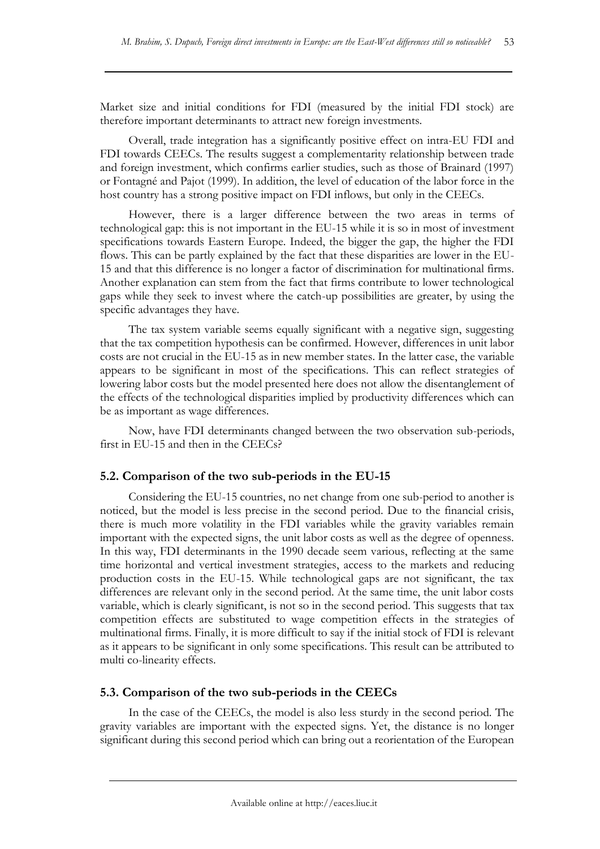Market size and initial conditions for FDI (measured by the initial FDI stock) are therefore important determinants to attract new foreign investments.

Overall, trade integration has a significantly positive effect on intra-EU FDI and FDI towards CEECs. The results suggest a complementarity relationship between trade and foreign investment, which confirms earlier studies, such as those of Brainard (1997) or Fontagné and Pajot (1999). In addition, the level of education of the labor force in the host country has a strong positive impact on FDI inflows, but only in the CEECs.

However, there is a larger difference between the two areas in terms of technological gap: this is not important in the EU-15 while it is so in most of investment specifications towards Eastern Europe. Indeed, the bigger the gap, the higher the FDI flows. This can be partly explained by the fact that these disparities are lower in the EU-15 and that this difference is no longer a factor of discrimination for multinational firms. Another explanation can stem from the fact that firms contribute to lower technological gaps while they seek to invest where the catch-up possibilities are greater, by using the specific advantages they have.

The tax system variable seems equally significant with a negative sign, suggesting that the tax competition hypothesis can be confirmed. However, differences in unit labor costs are not crucial in the EU-15 as in new member states. In the latter case, the variable appears to be significant in most of the specifications. This can reflect strategies of lowering labor costs but the model presented here does not allow the disentanglement of the effects of the technological disparities implied by productivity differences which can be as important as wage differences.

Now, have FDI determinants changed between the two observation sub-periods, first in EU-15 and then in the CEECs?

## **5.2. Comparison of the two sub-periods in the EU-15**

Considering the EU-15 countries, no net change from one sub-period to another is noticed, but the model is less precise in the second period. Due to the financial crisis, there is much more volatility in the FDI variables while the gravity variables remain important with the expected signs, the unit labor costs as well as the degree of openness. In this way, FDI determinants in the 1990 decade seem various, reflecting at the same time horizontal and vertical investment strategies, access to the markets and reducing production costs in the EU-15. While technological gaps are not significant, the tax differences are relevant only in the second period. At the same time, the unit labor costs variable, which is clearly significant, is not so in the second period. This suggests that tax competition effects are substituted to wage competition effects in the strategies of multinational firms. Finally, it is more difficult to say if the initial stock of FDI is relevant as it appears to be significant in only some specifications. This result can be attributed to multi co-linearity effects.

## **5.3. Comparison of the two sub-periods in the CEECs**

In the case of the CEECs, the model is also less sturdy in the second period. The gravity variables are important with the expected signs. Yet, the distance is no longer significant during this second period which can bring out a reorientation of the European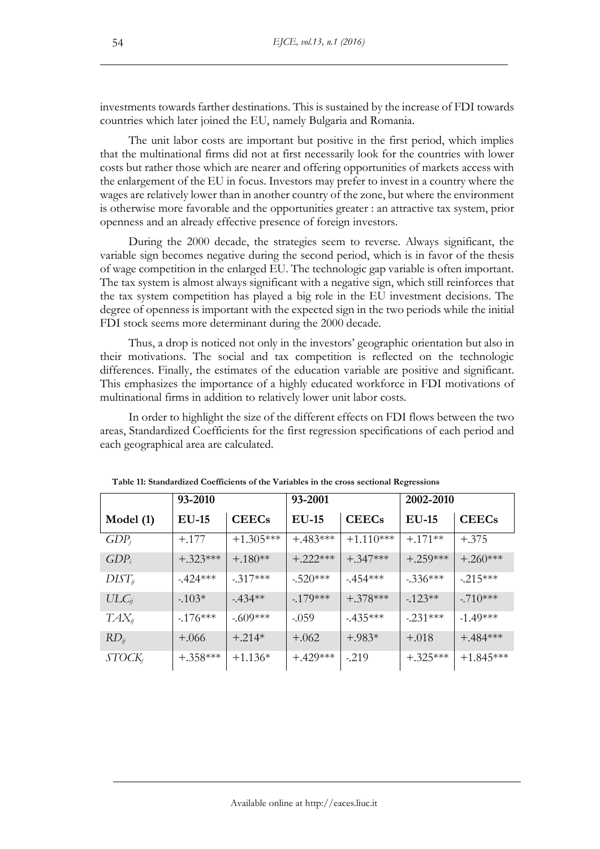investments towards farther destinations. This is sustained by the increase of FDI towards countries which later joined the EU, namely Bulgaria and Romania.

The unit labor costs are important but positive in the first period, which implies that the multinational firms did not at first necessarily look for the countries with lower costs but rather those which are nearer and offering opportunities of markets access with the enlargement of the EU in focus. Investors may prefer to invest in a country where the wages are relatively lower than in another country of the zone, but where the environment is otherwise more favorable and the opportunities greater : an attractive tax system, prior openness and an already effective presence of foreign investors.

During the 2000 decade, the strategies seem to reverse. Always significant, the variable sign becomes negative during the second period, which is in favor of the thesis of wage competition in the enlarged EU. The technologic gap variable is often important. The tax system is almost always significant with a negative sign, which still reinforces that the tax system competition has played a big role in the EU investment decisions. The degree of openness is important with the expected sign in the two periods while the initial FDI stock seems more determinant during the 2000 decade.

Thus, a drop is noticed not only in the investors' geographic orientation but also in their motivations. The social and tax competition is reflected on the technologic differences. Finally, the estimates of the education variable are positive and significant. This emphasizes the importance of a highly educated workforce in FDI motivations of multinational firms in addition to relatively lower unit labor costs.

In order to highlight the size of the different effects on FDI flows between the two areas, Standardized Coefficients for the first regression specifications of each period and each geographical area are calculated.

|                    | 93-2010    |              | 93-2001    |              | 2002-2010  |              |
|--------------------|------------|--------------|------------|--------------|------------|--------------|
| Model $(1)$        | $EU-15$    | <b>CEECs</b> | $EU-15$    | <b>CEECs</b> | $EU-15$    | <b>CEECs</b> |
| $GDP_j$            | $+.177$    | $+1.305***$  | $+483***$  | $+1.110***$  | $+.171**$  | $+.375$      |
| $GDP_i$            | $+.323***$ | $+.180**$    | $+.222***$ | $+0.347***$  | $+.259***$ | $+.260***$   |
| $DIST_{ij}$        | $-424***$  | $-317***$    | $-520***$  | $-454***$    | $-336***$  | $-215***$    |
| $ULC_{ij}$         | $-103*$    | $-434**$     | $-179***$  | $+.378***$   | $-123**$   | $-710***$    |
| $TAX_{ij}$         | $-176***$  | $-.609***$   | $-0.059$   | $-435***$    | $-.231***$ | $-1.49***$   |
| $RD_{ij}$          | $+.066$    | $+.214*$     | $+.062$    | $+.983*$     | $+.018$    | $+.484***$   |
| STOCK <sub>j</sub> | $+.358***$ | $+1.136*$    | $+429***$  | $-219$       | $+.325***$ | $+1.845***$  |

**Table 11: Standardized Coefficients of the Variables in the cross sectional Regressions**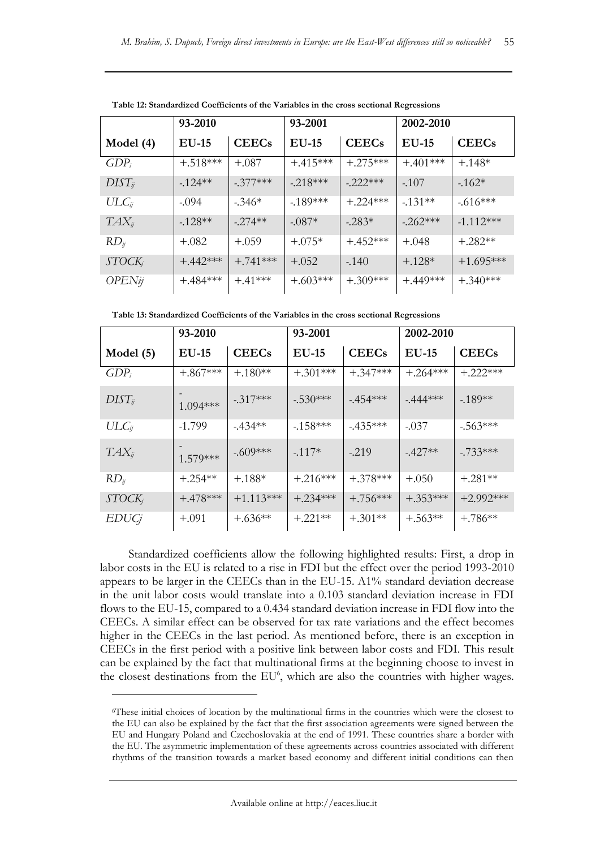|                    | 93-2010    |              | 93-2001    |              | 2002-2010  |              |
|--------------------|------------|--------------|------------|--------------|------------|--------------|
| Model $(4)$        | $EU-15$    | <b>CEECs</b> | $EU-15$    | <b>CEECs</b> | $EU-15$    | <b>CEECs</b> |
| $GDP_i$            | $+.518***$ | $+.087$      | $+415***$  | $+.275***$   | $+.401***$ | $+.148*$     |
| $DIST_{ij}$        | $-124**$   | $-377***$    | $-218***$  | $-222***$    | $-107$     | $-162*$      |
| $ULC_{ij}$         | $-.094$    | $-346*$      | $-189***$  | $+.224***$   | $-1.31**$  | $-616***$    |
| $TAX_{ij}$         | $-128**$   | $-274**$     | $-.087*$   | $-283*$      | $-262***$  | $-1.112***$  |
| $RD_{ij}$          | $+.082$    | $+.059$      | $+.075*$   | $+4.52***$   | $+.048$    | $+.282**$    |
| STOCK <sub>j</sub> | $+442***$  | $+$ .741***  | $+.052$    | $-140$       | $+.128*$   | $+1.695***$  |
| OPENij             | $+484***$  | $+.41***$    | $+.603***$ | $+.309***$   | $+.449***$ | $+.340***$   |

**Table 12: Standardized Coefficients of the Variables in the cross sectional Regressions**

**Table 13: Standardized Coefficients of the Variables in the cross sectional Regressions**

|                    | 93-2010    |              | 93-2001      |              | 2002-2010  |              |
|--------------------|------------|--------------|--------------|--------------|------------|--------------|
| Model $(5)$        | $EU-15$    | <b>CEECs</b> | <b>EU-15</b> | <b>CEECs</b> | $EU-15$    | <b>CEECs</b> |
| $GDP_i$            | $+.867***$ | $+.180**$    | $+.301***$   | $+.347***$   | $+.264***$ | $+.222***$   |
| $DIST_{ij}$        | $1.094***$ | $-317***$    | $-.530***$   | $-454***$    | $-444***$  | $-189**$     |
| $ULC_{ij}$         | $-1.799$   | $-434**$     | $-158***$    | $-435***$    | $-.037$    | $-563***$    |
| $TAX_{ij}$         | $1.579***$ | $-.609***$   | $-117*$      | $-219$       | $-427**$   | $-733***$    |
| $RD_{ij}$          | $+.254**$  | $+.188*$     | $+.216***$   | $+.378***$   | $+.050$    | $+.281**$    |
| STOCK <sub>j</sub> | $+478***$  | $+1.113***$  | $+.234***$   | $+.756***$   | $+.353***$ | $+2.992***$  |
| <i>EDUCj</i>       | $+.091$    | $+.636**$    | $+.221**$    | $+.301**$    | $+.563**$  | $+.786**$    |

Standardized coefficients allow the following highlighted results: First, a drop in labor costs in the EU is related to a rise in FDI but the effect over the period 1993-2010 appears to be larger in the CEECs than in the EU-15. A1% standard deviation decrease in the unit labor costs would translate into a 0.103 standard deviation increase in FDI flows to the EU-15, compared to a 0.434 standard deviation increase in FDI flow into the CEECs. A similar effect can be observed for tax rate variations and the effect becomes higher in the CEECs in the last period. As mentioned before, there is an exception in CEECs in the first period with a positive link between labor costs and FDI. This result can be explained by the fact that multinational firms at the beginning choose to invest in the closest destinations from the EU<sup>6</sup>, which are also the countries with higher wages.

 $\overline{a}$ 

<sup>6</sup>These initial choices of location by the multinational firms in the countries which were the closest to the EU can also be explained by the fact that the first association agreements were signed between the EU and Hungary Poland and Czechoslovakia at the end of 1991. These countries share a border with the EU. The asymmetric implementation of these agreements across countries associated with different rhythms of the transition towards a market based economy and different initial conditions can then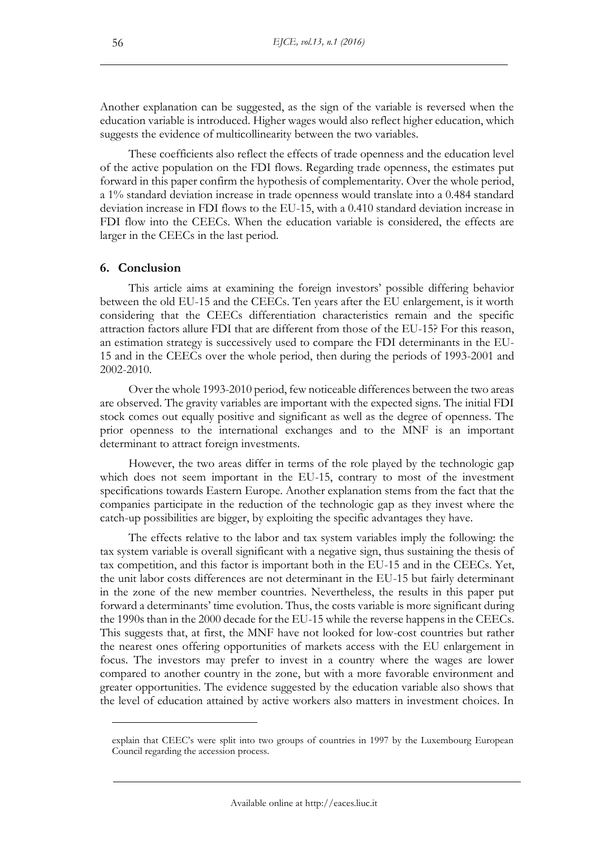Another explanation can be suggested, as the sign of the variable is reversed when the education variable is introduced. Higher wages would also reflect higher education, which suggests the evidence of multicollinearity between the two variables.

These coefficients also reflect the effects of trade openness and the education level of the active population on the FDI flows. Regarding trade openness, the estimates put forward in this paper confirm the hypothesis of complementarity. Over the whole period, a 1% standard deviation increase in trade openness would translate into a 0.484 standard deviation increase in FDI flows to the EU-15, with a 0.410 standard deviation increase in FDI flow into the CEECs. When the education variable is considered, the effects are larger in the CEECs in the last period.

#### **6. Conclusion**

 $\overline{a}$ 

This article aims at examining the foreign investors' possible differing behavior between the old EU-15 and the CEECs. Ten years after the EU enlargement, is it worth considering that the CEECs differentiation characteristics remain and the specific attraction factors allure FDI that are different from those of the EU-15? For this reason, an estimation strategy is successively used to compare the FDI determinants in the EU-15 and in the CEECs over the whole period, then during the periods of 1993-2001 and 2002-2010.

Over the whole 1993-2010 period, few noticeable differences between the two areas are observed. The gravity variables are important with the expected signs. The initial FDI stock comes out equally positive and significant as well as the degree of openness. The prior openness to the international exchanges and to the MNF is an important determinant to attract foreign investments.

However, the two areas differ in terms of the role played by the technologic gap which does not seem important in the EU-15, contrary to most of the investment specifications towards Eastern Europe. Another explanation stems from the fact that the companies participate in the reduction of the technologic gap as they invest where the catch-up possibilities are bigger, by exploiting the specific advantages they have.

The effects relative to the labor and tax system variables imply the following: the tax system variable is overall significant with a negative sign, thus sustaining the thesis of tax competition, and this factor is important both in the EU-15 and in the CEECs. Yet, the unit labor costs differences are not determinant in the EU-15 but fairly determinant in the zone of the new member countries. Nevertheless, the results in this paper put forward a determinants' time evolution. Thus, the costs variable is more significant during the 1990s than in the 2000 decade for the EU-15 while the reverse happens in the CEECs. This suggests that, at first, the MNF have not looked for low-cost countries but rather the nearest ones offering opportunities of markets access with the EU enlargement in focus. The investors may prefer to invest in a country where the wages are lower compared to another country in the zone, but with a more favorable environment and greater opportunities. The evidence suggested by the education variable also shows that the level of education attained by active workers also matters in investment choices. In

explain that CEEC's were split into two groups of countries in 1997 by the Luxembourg European Council regarding the accession process.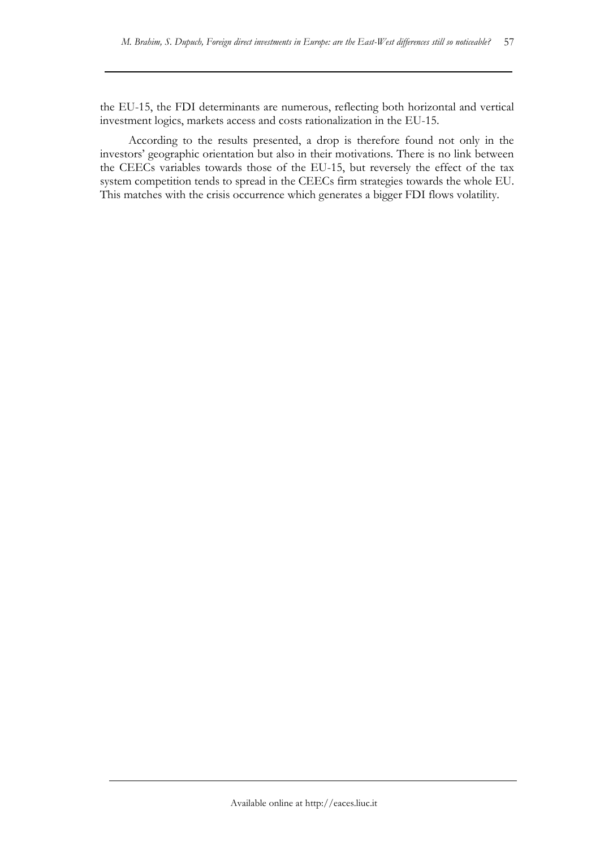the EU-15, the FDI determinants are numerous, reflecting both horizontal and vertical investment logics, markets access and costs rationalization in the EU-15.

According to the results presented, a drop is therefore found not only in the investors' geographic orientation but also in their motivations. There is no link between the CEECs variables towards those of the EU-15, but reversely the effect of the tax system competition tends to spread in the CEECs firm strategies towards the whole EU. This matches with the crisis occurrence which generates a bigger FDI flows volatility.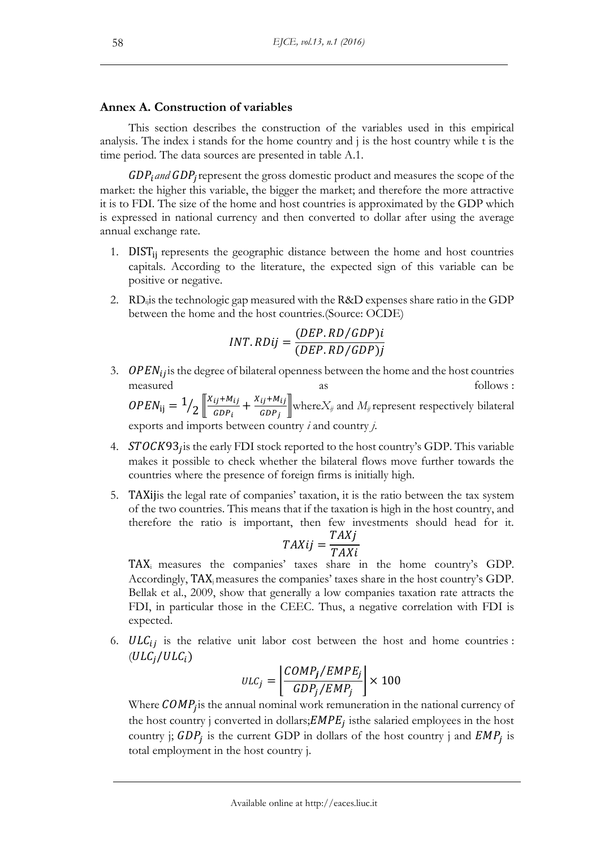## **Annex A. Construction of variables**

This section describes the construction of the variables used in this empirical analysis. The index i stands for the home country and j is the host country while t is the time period. The data sources are presented in table A.1.

GDP<sub>i</sub> and GDP<sub>j</sub> represent the gross domestic product and measures the scope of the market: the higher this variable, the bigger the market; and therefore the more attractive it is to FDI. The size of the home and host countries is approximated by the GDP which is expressed in national currency and then converted to dollar after using the average annual exchange rate.

- 1.  $DIST_{ii}$  represents the geographic distance between the home and host countries capitals. According to the literature, the expected sign of this variable can be positive or negative.
- 2. RD<sub>ij</sub> is the technologic gap measured with the R&D expenses share ratio in the GDP between the home and the host countries.(Source: OCDE)

$$
INT.RDij = \frac{(DEP.RD/GDP)i}{(DEF.RD/GDP)j}
$$

3.  $OPEN_{ij}$  is the degree of bilateral openness between the home and the host countries measured as as follows :  $OPEN_{ij} = \frac{1}{2} \sqrt{\frac{X_{ij} + M_{ij}}{GDP_i}}$  $\frac{ij+M_{ij}}{GDP_i} + \frac{X_{ij}+M_{ij}}{GDP_j}$  $\frac{dI^{(1)}(m_I)}{dDP_j}$  where $X_{ij}$  and  $M_{ij}$  represent respectively bilateral

exports and imports between country *i* and country *j*.

- 4.  $STOCK93<sub>j</sub>$  is the early FDI stock reported to the host country's GDP. This variable makes it possible to check whether the bilateral flows move further towards the countries where the presence of foreign firms is initially high.
- 5. TAXijis the legal rate of companies' taxation, it is the ratio between the tax system of the two countries. This means that if the taxation is high in the host country, and therefore the ratio is important, then few investments should head for it.

$$
TAXij = \frac{TAXj}{TAXi}
$$

TAX<sup>i</sup> measures the companies' taxes share in the home country's GDP. Accordingly, TAXj measures the companies' taxes share in the host country's GDP. Bellak et al., 2009, show that generally a low companies taxation rate attracts the FDI, in particular those in the CEEC. Thus, a negative correlation with FDI is expected.

6.  $ULC_{ij}$  is the relative unit labor cost between the host and home countries :  $(ULC_i/ULC_i)$ 

$$
ULC_j = \left\lfloor \frac{COMP_j/EMPE_j}{GDP_j/EMP_j} \right\rfloor \times 100
$$

Where  $\textit{COMP}_j$  is the annual nominal work remuneration in the national currency of the host country j converted in dollars;  $EMPE<sub>j</sub>$  is the salaried employees in the host country j;  $GDP_j$  is the current GDP in dollars of the host country j and  $EMP_j$  is total employment in the host country j.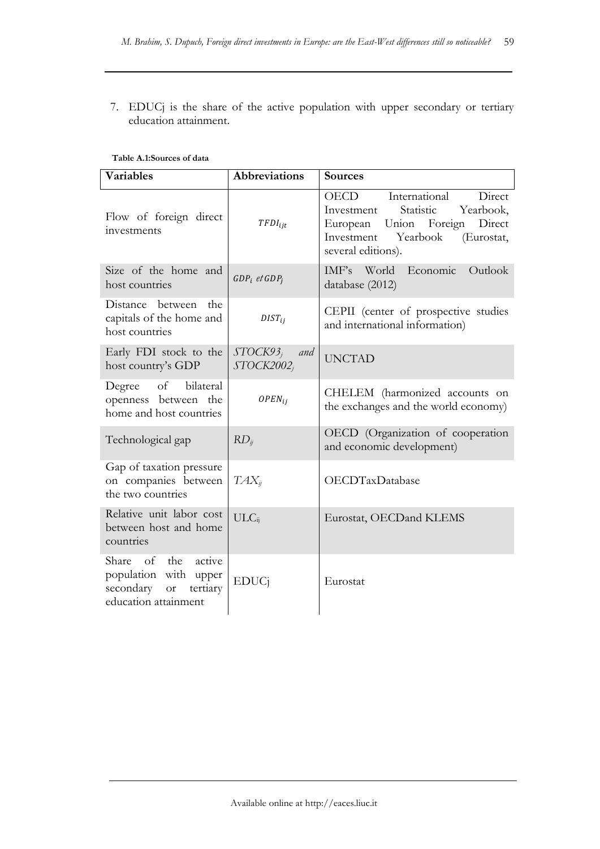7. EDUCj is the share of the active population with upper secondary or tertiary education attainment.

**Table A.1:Sources of data**

| <b>Variables</b><br><b>Abbreviations</b>                                                                           |                                     | <b>Sources</b>                                                                                                                                                            |  |  |
|--------------------------------------------------------------------------------------------------------------------|-------------------------------------|---------------------------------------------------------------------------------------------------------------------------------------------------------------------------|--|--|
| Flow of foreign direct<br>investments                                                                              | $TFDI_{ijt}$                        | International<br>Direct<br>OECD<br>Statistic<br>Yearbook,<br>Investment<br>European Union Foreign<br>Direct<br>Yearbook<br>Investment<br>(Eurostat,<br>several editions). |  |  |
| Size of the home and<br>host countries                                                                             | $GDP_i$ et $GDP_i$                  | World<br>Economic<br>Outlook<br>IMF's<br>database (2012)                                                                                                                  |  |  |
| Distance between<br>the<br>capitals of the home and<br>host countries                                              | $DIST_{ij}$                         | CEPII (center of prospective studies<br>and international information)                                                                                                    |  |  |
| Early FDI stock to the<br>host country's GDP                                                                       | $STOCK93_i$<br>and<br>$STOCK2002_i$ | <b>UNCTAD</b>                                                                                                                                                             |  |  |
| bilateral<br>of<br>Degree<br>openness between the<br>home and host countries                                       | $OPEN_{ij}$                         | CHELEM (harmonized accounts on<br>the exchanges and the world economy)                                                                                                    |  |  |
| Technological gap                                                                                                  | $RD_{ii}$                           | OECD (Organization of cooperation<br>and economic development)                                                                                                            |  |  |
| Gap of taxation pressure<br>on companies between<br>the two countries                                              | $TAX_{ii}$                          | OECDTaxDatabase                                                                                                                                                           |  |  |
| Relative unit labor cost<br>between host and home<br>countries                                                     | $ULC_{ii}$                          | Eurostat, OECDand KLEMS                                                                                                                                                   |  |  |
| active<br>Share of<br>the<br>population with upper<br>secondary<br>tertiary<br>$\hbox{or}$<br>education attainment | <b>EDUCi</b>                        | Eurostat                                                                                                                                                                  |  |  |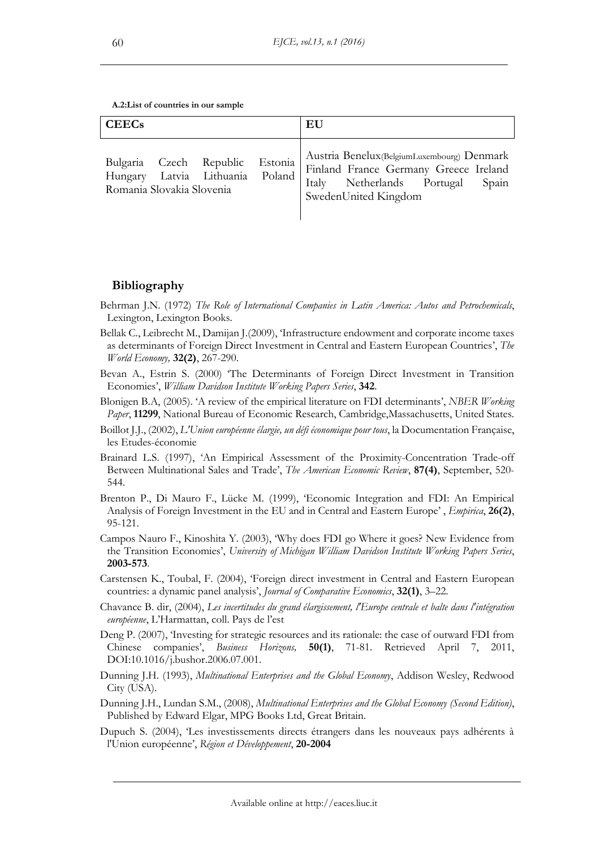Available online at http://eaces.liuc.it

**A.2:List of countries in our sample**

| <b>CEECs</b>              |                                                                    | EU                                                                                                                                                  |
|---------------------------|--------------------------------------------------------------------|-----------------------------------------------------------------------------------------------------------------------------------------------------|
| Romania Slovakia Slovenia | Bulgaria Czech Republic Estonia<br>Hungary Latvia Lithuania Poland | Austria Benelux (BelgiumLuxembourg) Denmark<br>Finland France Germany Greece Ireland<br>Italy Netherlands Portugal<br>Spain<br>SwedenUnited Kingdom |

## **Bibliography**

- Behrman J.N. (1972) *The Role of International Companies in Latin America: Autos and Petrochemicals*, Lexington, Lexington Books.
- Bellak C., Leibrecht M., Damijan J.(2009), 'Infrastructure endowment and corporate income taxes as determinants of Foreign Direct Investment in Central and Eastern European Countries', *The World Economy,* **32(2)**, 267-290.
- Bevan A., Estrin S. (2000) 'The Determinants of Foreign Direct Investment in Transition Economies', *William Davidson Institute Working Papers Series*, **342**.
- Blonigen B.A, (2005). 'A review of the empirical literature on FDI determinants', *NBER Working Paper*, **11299**, National Bureau of Economic Research, Cambridge,Massachusetts, United States.
- Boillot J.J., (2002), *L'Union européenne élargie, un défi économique pour tous*, la Documentation Française, les Etudes-économie
- Brainard L.S. (1997), 'An Empirical Assessment of the Proximity-Concentration Trade-off Between Multinational Sales and Trade', *The American Economic Review*, **87(4)**, September, 520- 544.
- Brenton P., Di Mauro F., Lücke M. (1999), 'Economic Integration and FDI: An Empirical Analysis of Foreign Investment in the EU and in Central and Eastern Europe' , *Empirica*, **26(2)**, 95-121.
- Campos Nauro F., Kinoshita Y. (2003), 'Why does FDI go Where it goes? New Evidence from the Transition Economies', *University of Michigan William Davidson Institute Working Papers Series*, **2003-573**.
- Carstensen K., Toubal, F. (2004), 'Foreign direct investment in Central and Eastern European countries: a dynamic panel analysis', *Journal of Comparative Economics*, **32(1)**, 3–22.
- Chavance B. dir, (2004), *Les incertitudes du grand élargissement, l'Europe centrale et balte dans l'intégration européenne*, L'Harmattan, coll. Pays de l'est
- Deng P. (2007), 'Investing for strategic resources and its rationale: the case of outward FDI from Chinese companies', *Business Horizons,* **50(1)**, 71-81. Retrieved April 7, 2011, DOI:10.1016/j.bushor.2006.07.001.
- Dunning J.H. (1993), *Multinational Enterprises and the Global Economy*, Addison Wesley, Redwood City (USA).
- Dunning J.H., Lundan S.M., (2008), *Multinational Enterprises and the Global Economy (Second Edition)*, Published by Edward Elgar, MPG Books Ltd, Great Britain.
- Dupuch S. (2004), 'Les investissements directs étrangers dans les nouveaux pays adhérents à l'Union européenne', *Région et Développement*, **20-2004**